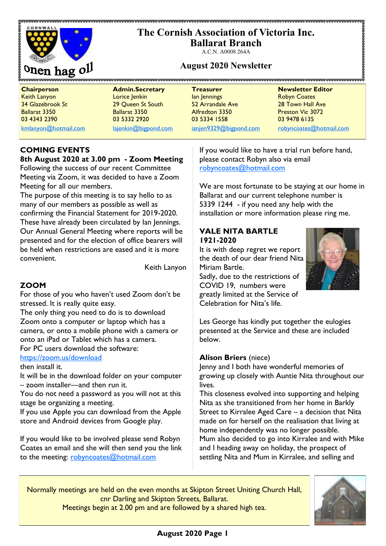# **The Cornish Association of Victoria Inc.**



**Ballarat Branch** A.C.N. A0008 264A

## **August 2020 Newsletter**

**Chairperson Admin.Secretary Treasurer Newsletter Editor** Keith Lanyon Lorice Jenkin Ian Jennings Robyn Coates **34 Glazebrook St 29 Queen St South 52 Arrandale Ave 28 Town Hall Ave** 28 Ballarat 3350 Ballarat 3350 Alfredton 3350 Preston Vic 3072 03 4343 2390 03 5332 2920 03 5334 1558 03 9478 6135

[kmlanyon@hotmail.com](mailto:kmlanyon@hotmail.com) [lajenkin@bigpond.com](mailto:lajenkin@bigpond.com) [ianjen9329@bigpond.com](mailto:ianjen9329@bigpond.com) [robyncoates@hotmail.com](mailto:robynjcoates@iinet.net.au)

## **COMING EVENTS**

## **8th August 2020 at 3.00 pm - Zoom Meeting**

Following the success of our recent Committee Meeting via Zoom, it was decided to have a Zoom Meeting for all our members.

The purpose of this meeting is to say hello to as many of our members as possible as well as confirming the Financial Statement for 2019-2020. These have already been circulated by Ian Jennings. Our Annual General Meeting where reports will be presented and for the election of office bearers will be held when restrictions are eased and it is more convenient.

Keith Lanyon

### **ZOOM**

For those of you who haven't used Zoom don't be stressed. It is really quite easy.

The only thing you need to do is to download Zoom onto a computer or laptop which has a camera, or onto a mobile phone with a camera or onto an iPad or Tablet which has a camera. For PC users download the software:

## <https://zoom.us/download>

then install it.

It will be in the download folder on your computer – zoom installer—and then run it.

You do not need a password as you will not at this stage be organizing a meeting.

If you use Apple you can download from the Apple store and Android devices from Google play.

If you would like to be involved please send Robyn Coates an email and she will then send you the link to the meeting: [robyncoates@hotmail.com](mailto:robynjcoates@iinet.net.au)

If you would like to have a trial run before hand, please contact Robyn also via email [robyncoates@hotmail.com](mailto:robynjcoates@iinet.net.au)

We are most fortunate to be staying at our home in Ballarat and our current telephone number is 5339 1244 - if you need any help with the installation or more information please ring me.

### **VALE NITA BARTLE 1921-2020**

It is with deep regret we report the death of our dear friend Nita Miriam Bartle.

Sadly, due to the restrictions of COVID 19, numbers were greatly limited at the Service of Celebration for Nita's life.



Les George has kindly put together the eulogies presented at the Service and these are included below.

#### **Alison Briers** (niece)

Jenny and I both have wonderful memories of growing up closely with Auntie Nita throughout our lives.

This closeness evolved into supporting and helping Nita as she transitioned from her home in Barkly Street to Kirralee Aged Care – a decision that Nita made on for herself on the realisation that living at home independently was no longer possible. Mum also decided to go into Kirralee and with Mike and I heading away on holiday, the prospect of settling Nita and Mum in Kirralee, and selling and

Normally meetings are held on the even months at Skipton Street Uniting Church Hall, cnr Darling and Skipton Streets, Ballarat.



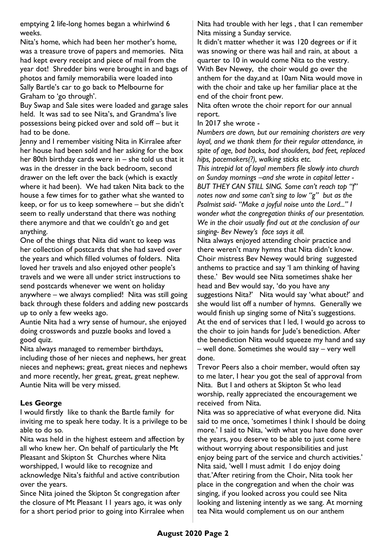emptying 2 life-long homes began a whirlwind 6 weeks.

Nita's home, which had been her mother's home, was a treasure trove of papers and memories. Nita had kept every receipt and piece of mail from the year dot! Shredder bins were brought in and bags of photos and family memorabilia were loaded into Sally Bartle's car to go back to Melbourne for Graham to 'go through'.

Buy Swap and Sale sites were loaded and garage sales held. It was sad to see Nita's, and Grandma's live possessions being picked over and sold off – but it had to be done.

Jenny and I remember visiting Nita in Kirralee after her house had been sold and her asking for the box her 80th birthday cards were in – she told us that it was in the dresser in the back bedroom, second drawer on the left over the back (which is exactly where it had been). We had taken Nita back to the house a few times for to gather what she wanted to keep, or for us to keep somewhere – but she didn't seem to really understand that there was nothing there anymore and that we couldn't go and get anything.

One of the things that Nita did want to keep was her collection of postcards that she had saved over the years and which filled volumes of folders. Nita loved her travels and also enjoyed other people's travels and we were all under strict instructions to send postcards whenever we went on holiday anywhere – we always complied! Nita was still going back through these folders and adding new postcards up to only a few weeks ago.

Auntie Nita had a wry sense of humour, she enjoyed doing crosswords and puzzle books and loved a good quiz.

Nita always managed to remember birthdays, including those of her nieces and nephews, her great nieces and nephews; great, great nieces and nephews and more recently, her great, great, great nephew. Auntie Nita will be very missed.

#### **Les George**

I would firstly like to thank the Bartle family for inviting me to speak here today. It is a privilege to be able to do so.

Nita was held in the highest esteem and affection by all who knew her. On behalf of particularly the Mt Pleasant and Skipton St Churches where Nita worshipped, I would like to recognize and acknowledge Nita's faithful and active contribution over the years.

Since Nita joined the Skipton St congregation after the closure of Mt Pleasant 11 years ago, it was only for a short period prior to going into Kirralee when Nita had trouble with her legs , that I can remember Nita missing a Sunday service.

It didn't matter whether it was 120 degrees or if it was snowing or there was hail and rain, at about a quarter to 10 in would come Nita to the vestry. With Bev Newey, the choir would go over the anthem for the day,and at 10am Nita would move in with the choir and take up her familiar place at the end of the choir front pew.

Nita often wrote the choir report for our annual report.

In 2017 she wrote -

*Numbers are down, but our remaining choristers are very loyal, and we thank them for their regular attendance, in spite of age, bad backs, bad shoulders, bad feet, replaced hips, pacemakers(?), walking sticks etc.* 

*This intrepid lot of loyal members file slowly into church on Sunday mornings –and she wrote in capital letter - BUT THEY CAN STILL SING. Some can't reach top "f" notes now and some can't sing to low "g" but as the Psalmist said- "Make a joyful noise unto the Lord..." I wonder what the congregation thinks of our presentation. We in the choir usually find out at the conclusion of our singing- Bev Newey's face says it all.* 

Nita always enjoyed attending choir practice and there weren't many hymns that Nita didn't know. Choir mistress Bev Newey would bring suggested anthems to practice and say 'I am thinking of having these.' Bev would see Nita sometimes shake her head and Bev would say, 'do you have any suggestions Nita?' Nita would say 'what about?' and she would list off a number of hymns. Generally we would finish up singing some of Nita's suggestions. At the end of services that I led, I would go across to the choir to join hands for Jude's benediction. After the benediction Nita would squeeze my hand and say – well done. Sometimes she would say – very well done.

Trevor Peers also a choir member, would often say to me later, I hear you got the seal of approval from Nita. But I and others at Skipton St who lead worship, really appreciated the encouragement we received from Nita.

Nita was so appreciative of what everyone did. Nita said to me once, 'sometimes I think I should be doing more.' I said to Nita, 'with what you have done over the years, you deserve to be able to just come here without worrying about responsibilities and just enjoy being part of the service and church activities.' Nita said, 'well I must admit I do enjoy doing that.'After retiring from the Choir, Nita took her place in the congregation and when the choir was singing, if you looked across you could see Nita looking and listening intently as we sang. At morning tea Nita would complement us on our anthem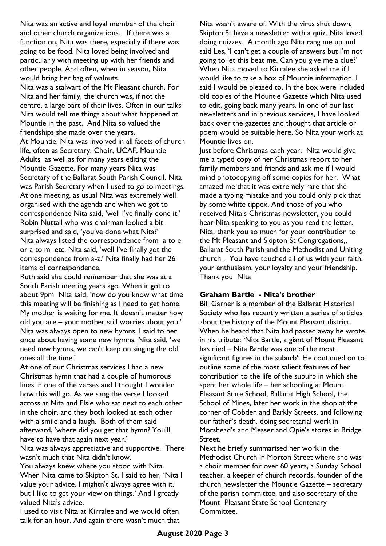Nita was an active and loyal member of the choir and other church organizations. If there was a function on, Nita was there, especially if there was going to be food. Nita loved being involved and particularly with meeting up with her friends and other people. And often, when in season, Nita would bring her bag of walnuts.

Nita was a stalwart of the Mt Pleasant church. For Nita and her family, the church was, if not the centre, a large part of their lives. Often in our talks Nita would tell me things about what happened at Mountie in the past. And Nita so valued the friendships she made over the years. At Mountie, Nita was involved in all facets of church life, often as Secretary: Choir, UCAF, Mountie Adults as well as for many years editing the Mountie Gazette. For many years Nita was Secretary of the Ballarat South Parish Council. Nita was Parish Secretary when I used to go to meetings. At one meeting, as usual Nita was extremely well organised with the agenda and when we got to correspondence Nita said, 'well I've finally done it.' Robin Nuttall who was chairman looked a bit surprised and said, 'you've done what Nita?' Nita always listed the correspondence from a to e or a to m etc. Nita said, 'well I've finally got the correspondence from a-z.' Nita finally had her 26 items of correspondence.

Ruth said she could remember that she was at a South Parish meeting years ago. When it got to about 9pm Nita said, 'now do you know what time this meeting will be finishing as I need to get home. My mother is waiting for me. It doesn't matter how old you are – your mother still worries about you.' Nita was always open to new hymns. I said to her once about having some new hymns. Nita said, 'we need new hymns, we can't keep on singing the old ones all the time.'

At one of our Christmas services I had a new Christmas hymn that had a couple of humorous lines in one of the verses and I thought I wonder how this will go. As we sang the verse I looked across at Nita and Elsie who sat next to each other in the choir, and they both looked at each other with a smile and a laugh. Both of them said afterward, 'where did you get that hymn? You'll have to have that again next year.'

Nita was always appreciative and supportive. There wasn't much that Nita didn't know.

You always knew where you stood with Nita. When Nita came to Skipton St, I said to her, 'Nita I value your advice, I mightn't always agree with it, but I like to get your view on things.' And I greatly valued Nita's advice.

I used to visit Nita at Kirralee and we would often talk for an hour. And again there wasn't much that Nita wasn't aware of. With the virus shut down, Skipton St have a newsletter with a quiz. Nita loved doing quizzes. A month ago Nita rang me up and said Les, 'I can't get a couple of answers but I'm not going to let this beat me. Can you give me a clue?' When Nita moved to Kirralee she asked me if I would like to take a box of Mountie information. I said I would be pleased to. In the box were included old copies of the Mountie Gazette which Nita used to edit, going back many years. In one of our last newsletters and in previous services, I have looked back over the gazettes and thought that article or poem would be suitable here. So Nita your work at Mountie lives on.

Just before Christmas each year, Nita would give me a typed copy of her Christmas report to her family members and friends and ask me if I would mind photocopying off some copies for her, What amazed me that it was extremely rare that she made a typing mistake and you could only pick that by some white tippex. And those of you who received Nita's Christmas newsletter, you could hear Nita speaking to you as you read the letter. Nita, thank you so much for your contribution to the Mt Pleasant and Skipton St Congregations,, Ballarat South Parish and the Methodist and Uniting church . You have touched all of us with your faith, your enthusiasm, your loyalty and your friendship. Thank you NIta

#### **Graham Bartle - Nita's brother**

Bill Garner is a member of the Ballarat Historical Society who has recently written a series of articles about the history of the Mount Pleasant district. When he heard that Nita had passed away he wrote in his tribute: 'Nita Bartle, a giant of Mount Pleasant has died – Nita Bartle was one of the most significant figures in the suburb'. He continued on to outline some of the most salient features of her contribution to the life of the suburb in which she spent her whole life – her schooling at Mount Pleasant State School, Ballarat High School, the School of Mines, later her work in the shop at the corner of Cobden and Barkly Streets, and following our father's death, doing secretarial work in Morshead's and Messer and Opie's stores in Bridge Street.

Next he briefly summarised her work in the Methodist Church in Morton Street where she was a choir member for over 60 years, a Sunday School teacher, a keeper of church records, founder of the church newsletter the Mountie Gazette – secretary of the parish committee, and also secretary of the Mount Pleasant State School Centenary Committee.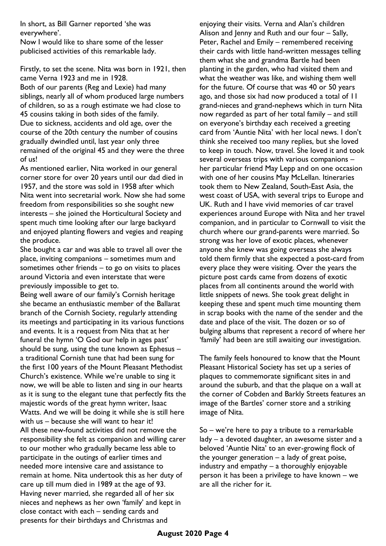In short, as Bill Garner reported 'she was everywhere'.

Now I would like to share some of the lesser publicised activities of this remarkable lady.

Firstly, to set the scene. Nita was born in 1921, then came Verna 1923 and me in 1928.

Both of our parents (Reg and Lexie) had many siblings, nearly all of whom produced large numbers of children, so as a rough estimate we had close to 45 cousins taking in both sides of the family. Due to sickness, accidents and old age, over the course of the 20th century the number of cousins gradually dwindled until, last year only three remained of the original 45 and they were the three of us!

As mentioned earlier, Nita worked in our general corner store for over 20 years until our dad died in 1957, and the store was sold in 1958 after which Nita went into secretarial work. Now she had some freedom from responsibilities so she sought new interests – she joined the Horticultural Society and spent much time looking after our large backyard and enjoyed planting flowers and vegies and reaping the produce.

She bought a car and was able to travel all over the place, inviting companions – sometimes mum and sometimes other friends – to go on visits to places around Victoria and even interstate that were previously impossible to get to.

Being well aware of our family's Cornish heritage she became an enthusiastic member of the Ballarat branch of the Cornish Society, regularly attending its meetings and participating in its various functions and events. It is a request from Nita that at her funeral the hymn 'O God our help in ages past' should be sung, using the tune known as Ephesus – a traditional Cornish tune that had been sung for the first 100 years of the Mount Pleasant Methodist Church's existence. While we're unable to sing it now, we will be able to listen and sing in our hearts as it is sung to the elegant tune that perfectly fits the majestic words of the great hymn writer, Isaac Watts. And we will be doing it while she is still here with us – because she will want to hear it! All these new-found activities did not remove the responsibility she felt as companion and willing carer to our mother who gradually became less able to participate in the outings of earlier times and needed more intensive care and assistance to remain at home. Nita undertook this as her duty of care up till mum died in 1989 at the age of 93. Having never married, she regarded all of her six nieces and nephews as her own 'family' and kept in close contact with each – sending cards and presents for their birthdays and Christmas and

enjoying their visits. Verna and Alan's children Alison and Jenny and Ruth and our four – Sally, Peter, Rachel and Emily – remembered receiving their cards with little hand-written messages telling them what she and grandma Bartle had been planting in the garden, who had visited them and what the weather was like, and wishing them well for the future. Of course that was 40 or 50 years ago, and those six had now produced a total of 11 grand-nieces and grand-nephews which in turn Nita now regarded as part of her total family – and still on everyone's birthday each received a greeting card from 'Auntie Nita' with her local news. I don't think she received too many replies, but she loved to keep in touch. Now, travel. She loved it and took several overseas trips with various companions – her particular friend May Lepp and on one occasion with one of her cousins May McLellan. Itineraries took them to New Zealand, South-East Asia, the west coast of USA, with several trips to Europe and UK. Ruth and I have vivid memories of car travel experiences around Europe with Nita and her travel companion, and in particular to Cornwall to visit the church where our grand-parents were married. So strong was her love of exotic places, whenever anyone she knew was going overseas she always told them firmly that she expected a post-card from every place they were visiting. Over the years the picture post cards came from dozens of exotic places from all continents around the world with little snippets of news. She took great delight in keeping these and spent much time mounting them in scrap books with the name of the sender and the date and place of the visit. The dozen or so of bulging albums that represent a record of where her 'family' had been are still awaiting our investigation.

The family feels honoured to know that the Mount Pleasant Historical Society has set up a series of plaques to commemorate significant sites in and around the suburb, and that the plaque on a wall at the corner of Cobden and Barkly Streets features an image of the Bartles' corner store and a striking image of Nita.

So – we're here to pay a tribute to a remarkable lady – a devoted daughter, an awesome sister and a beloved 'Auntie Nita' to an ever-growing flock of the younger generation  $-$  a lady of great poise, industry and empathy – a thoroughly enjoyable person it has been a privilege to have known – we are all the richer for it.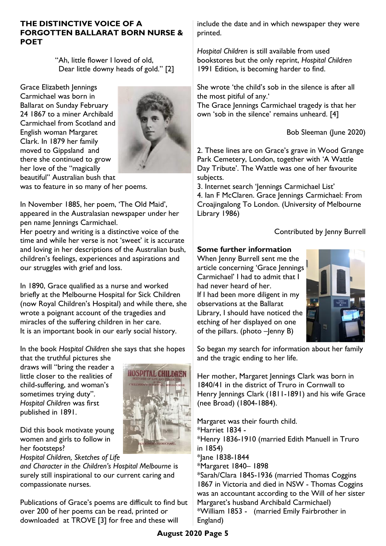#### **THE DISTINCTIVE VOICE OF A FORGOTTEN BALLARAT BORN NURSE & POET**

"Ah, little flower I loved of old, Dear little downy heads of gold." [2]

Grace Elizabeth Jennings Carmichael was born in Ballarat on Sunday February 24 1867 to a miner Archibald Carmichael from Scotland and English woman Margaret Clark. In 1879 her family moved to Gippsland and there she continued to grow her love of the "magically beautiful" Australian bush that



**HOSPITAL CHILDREN** 

was to feature in so many of her poems.

In November 1885, her poem, 'The Old Maid', appeared in the Australasian newspaper under her pen name Jennings Carmichael.

Her poetry and writing is a distinctive voice of the time and while her verse is not 'sweet' it is accurate and loving in her descriptions of the Australian bush, children's feelings, experiences and aspirations and our struggles with grief and loss.

In 1890, Grace qualified as a nurse and worked briefly at the Melbourne Hospital for Sick Children (now Royal Children's Hospital) and while there, she wrote a poignant account of the tragedies and miracles of the suffering children in her care. It is an important book in our early social history.

In the book *Hospital Children* she says that she hopes

that the truthful pictures she draws will "bring the reader a little closer to the realities of child-suffering, and woman's sometimes trying duty". *Hospital Children* was first published in 1891.

Did this book motivate young women and girls to follow in her footsteps?

*Hospital Children, Sketches of Life* 

*and Character in the Children's Hospital Melbourne* is surely still inspirational to our current caring and compassionate nurses.

Publications of Grace's poems are difficult to find but over 200 of her poems can be read, printed or downloaded at TROVE [3] for free and these will

include the date and in which newspaper they were printed.

*Hospital Children* is still available from used bookstores but the only reprint, *Hospital Children*  1991 Edition, is becoming harder to find.

She wrote 'the child's sob in the silence is after all the most pitiful of any.'

The Grace Jennings Carmichael tragedy is that her own 'sob in the silence' remains unheard. [4]

Bob Sleeman (June 2020)

2. These lines are on Grace's grave in Wood Grange Park Cemetery, London, together with 'A Wattle Day Tribute'. The Wattle was one of her favourite subjects.

3. Internet search 'Jennings Carmichael List' 4. Ian F McClaren. Grace Jennings Carmichael: From Croajingalong To London. (University of Melbourne Library 1986)

## Contributed by Jenny Burrell

### **Some further information**

When Jenny Burrell sent me the article concerning 'Grace Jennings Carmichael' I had to admit that I had never heard of her. If I had been more diligent in my observations at the Ballarat Library, I should have noticed the etching of her displayed on one of the pillars. (photo –Jenny B)



So began my search for information about her family and the tragic ending to her life.

Her mother, Margaret Jennings Clark was born in 1840/41 in the district of Truro in Cornwall to Henry Jennings Clark (1811-1891) and his wife Grace (nee Broad) (1804-1884).

Margaret was their fourth child. \*Harriet 1834 - \*Henry 1836-1910 (married Edith Manuell in Truro in 1854) \*Jane 1838-1844 \*Margaret 1840– 1898 \*Sarah/Clara 1845-1936 (married Thomas Coggins 1867 in Victoria and died in NSW - Thomas Coggins was an accountant according to the Will of her sister Margaret's husband Archibald Carmichael) \*William 1853 - (married Emily Fairbrother in England)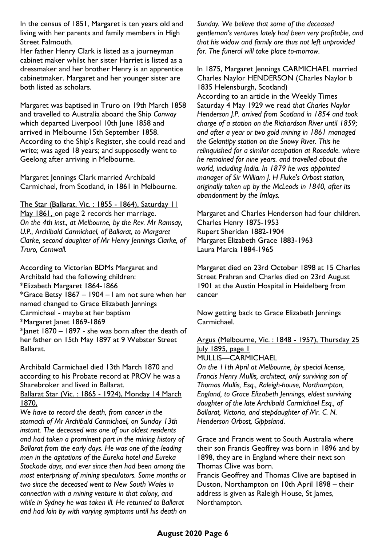In the census of 1851, Margaret is ten years old and living with her parents and family members in High Street Falmouth.

Her father Henry Clark is listed as a journeyman cabinet maker whilst her sister Harriet is listed as a dressmaker and her brother Henry is an apprentice cabinetmaker. Margaret and her younger sister are both listed as scholars.

Margaret was baptised in Truro on 19th March 1858 and travelled to Australia aboard the Ship *Conway*  which departed Liverpool 10th June 1858 and arrived in Melbourne 15th September 1858. According to the Ship's Register, she could read and write; was aged 18 years; and supposedly went to Geelong after arriving in Melbourne.

Margaret Jennings Clark married Archibald Carmichael, from Scotland, in 1861 in Melbourne.

The Star (Ballarat, Vic. : 1855 - 1864), Saturday 11 May 1861, on page 2 records her marriage. *On the 4th inst., at Melbourne, by the Rev. Mr Ramsay, U.P., Archibald Carmichael, of Ballarat, to Margaret Clarke, second daughter of Mr Henry Jennings Clarke, of Truro, Cornwall.*

According to Victorian BDMs Margaret and Archibald had the following children: \*Elizabeth Margaret 1864-1866 \*Grace Betsy 1867 – 1904 – I am not sure when her named changed to Grace Elizabeth Jennings Carmichael - maybe at her baptism \*Margaret Janet 1869-1869  $*$  lanet 1870 – 1897 - she was born after the death of her father on 15th May 1897 at 9 Webster Street Ballarat.

Archibald Carmichael died 13th March 1870 and according to his Probate record at PROV he was a Sharebroker and lived in Ballarat. Ballarat Star (Vic. : 1865 - 1924), Monday 14 March

1870,

*We have to record the death, from cancer in the stomach of Mr Archibald Carmichael, on Sunday 13th instant. The deceased was one of our oldest residents and had taken a prominent part in the mining history of Ballarat from the early days. He was one of the leading men in the agitations of the Eureka hotel and Eureka Stockade days, and ever since then had been among the most enterprising of mining speculators. Some months or two since the deceased went to New South Wales in connection with a mining venture in that colony, and while in Sydney he was taken ill. He returned to Ballarat and had lain by with varying symptoms until his death on*  *Sunday. We believe that some of the deceased gentleman's ventures lately had been very profitable, and that his widow and family are thus not left unprovided for. The funeral will take place to-morrow.*

In 1875, Margaret Jennings CARMICHAEL married Charles Naylor HENDERSON (Charles Naylor b 1835 Helensburgh, Scotland) According to an article in the Weekly Times Saturday 4 May 1929 we read *that Charles Naylor Henderson J.P. arrived from Scotland in 1854 and took charge of a station on the Richardson River until 1859; and after a year or two gold mining in 1861 managed the Gelantipy station on the Snowy River. This he relinquished for a similar occupation at Rosedale. where he remained for nine years. and travelled about the world, including India. In 1879 he was appointed manager of Sir William J. H Fluke's Orbost station, originally taken up by the McLeods in 1840, after its abandonment by the Imlays.*

Margaret and Charles Henderson had four children. Charles Henry 1875-1953 Rupert Sheridan 1882-1904 Margaret Elizabeth Grace 1883-1963 Laura Marcia 1884-1965

Margaret died on 23rd October 1898 at 15 Charles Street Prahran and Charles died on 23rd August 1901 at the Austin Hospital in Heidelberg from cancer

Now getting back to Grace Elizabeth Jennings Carmichael.

Argus (Melbourne, Vic. : 1848 - 1957), Thursday 25 July 1895, page 1

MULLIS—CARMICHAEL

*On the 11th April at Melbourne, by special license, Francis Henry Mullis, architect, only surviving son of Thomas Mullis, Esq., Raleigh-house, Northampton, England, to Grace Elizabeth Jennings, eldest surviving daughter of the late Archibald Carmichael Esq., of Ballarat, Victoria, and stepdaughter of Mr. C. N. Henderson Orbost, Gippsland*.

Grace and Francis went to South Australia where their son Francis Geoffrey was born in 1896 and by 1898, they are in England where their next son Thomas Clive was born.

Francis Geoffrey and Thomas Clive are baptised in Duston, Northampton on 10th April 1898 – their address is given as Raleigh House, St James, Northampton.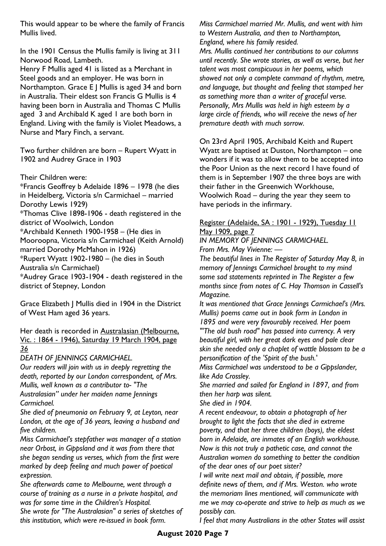This would appear to be where the family of Francis Mullis lived.

In the 1901 Census the Mullis family is living at 311 Norwood Road, Lambeth.

Henry F Mullis aged 41 is listed as a Merchant in Steel goods and an employer. He was born in Northampton. Grace E J Mullis is aged 34 and born in Australia. Their eldest son Francis G Mullis is 4 having been born in Australia and Thomas C Mullis aged 3 and Archibald K aged 1 are both born in England. Living with the family is Violet Meadows, a Nurse and Mary Finch, a servant.

Two further children are born – Rupert Wyatt in 1902 and Audrey Grace in 1903

Their Children were:

\*Francis Geoffrey b Adelaide 1896 – 1978 (he dies in Heidelberg, Victoria s/n Carmichael – married Dorothy Lewis 1929)

\*Thomas Clive 1898-1906 - death registered in the district of Woolwich, London

\*Archibald Kenneth 1900-1958 – (He dies in

Mooroopna, Victoria s/n Carmichael (Keith Arnold) married Dorothy McMahon in 1926)

\*Rupert Wyatt 1902-1980 – (he dies in South

Australia s/n Carmichael)

\*Audrey Grace 1903-1904 - death registered in the district of Stepney, London

Grace Elizabeth J Mullis died in 1904 in the District of West Ham aged 36 years.

Her death is recorded in Australasian (Melbourne, Vic. : 1864 - 1946), Saturday 19 March 1904, page *36*

*DEATH OF JENNINGS CARMICHAEL.*

*Our readers will join with us in deeply regretting the death, reported by our London correspondent, of Mrs. Mullis, well known as a contributor to- "The Australasian" under her maiden name Jennings Carmichael.* 

*She died of pneumonia on February 9, at Leyton, near London, at the age of 36 years, leaving a husband and five children.* 

*Miss Carmichael's stepfather was manager of a station near Orbost, in Gippsland and it was from there that she began sending us verses, which from the first were marked by deep feeling and much power of poetical expression.* 

*She afterwards came to Melbourne, went through a course of training as a nurse in a private hospital, and was for some time in the Children's Hospital. She wrote for "The Australasian" a series of sketches of this institution, which were re-issued in book form.* 

*Miss Carmichael married Mr. Mullis, and went with him to Western Australia, and then to Northampton, England, where his family resided.* 

*Mrs. Mullis continued her contributions to our columns until recently. She wrote stories, as well as verse, but her talent was most conspicuous in her poems, which showed not only a complete command of rhythm, metre, and language, but thought and feeling that stamped her as something more than a writer of graceful verse. Personally, Mrs Mullis was held in high esteem by a large circle of friends, who will receive the news of her premature death with much sorrow.*

On 23rd April 1905, Archibald Keith and Rupert Wyatt are baptised at Duston, Northampton – one wonders if it was to allow them to be accepted into the Poor Union as the next record I have found of them is in September 1907 the three boys are with their father in the Greenwich Workhouse, Woolwich Road – during the year they seem to have periods in the infirmary.

#### Register (Adelaide, SA : 1901 - 1929), Tuesday II May 1909, page 7

*IN MEMORY OF JENNINGS CARMICHAEL. From Mrs. May Vivienne: —*

*The beautiful lines in The Register of Saturday May 8, in memory of Jennings Carmichael brought to my mind some sad statements reprinted in The Register a few months since from notes of C. Hay Thomson in Cassell's Magazine.* 

*It was mentioned that Grace Jennings Carmichael's (Mrs. Mullis) poems came out in book form in London in 1895 and were very favourably received. Her poem "'The old bush road" has passed into currency. A very beautiful girl, with her great dark eyes and pale clear skin she needed only a chaplet of wattle blossom to be a personification of the 'Spirit of the bush.'* 

*Miss Carmichael was understood to be a Gippslander, like Ada Crossley.* 

*She married and sailed for England in 1897, and from then her harp was silent.* 

*She died in 1904.* 

*A recent endeavour, to obtain a photograph of her brought to light the facts that she died in extreme poverty, and that her three children (boys), the eldest born in Adelaide, are inmates of an English workhouse. Now is this not truly a pathetic case, and cannot the Australian women do something to better the condition of the dear ones of our poet sister?*

*I will write next mail and obtain, if possible, more definite news of them, and if Mrs. Weston. who wrote the memoriam lines mentioned, will communicate with me we may co-operate and strive to help as much as we possibly can.* 

*I feel that many Australians in the other States will assist*